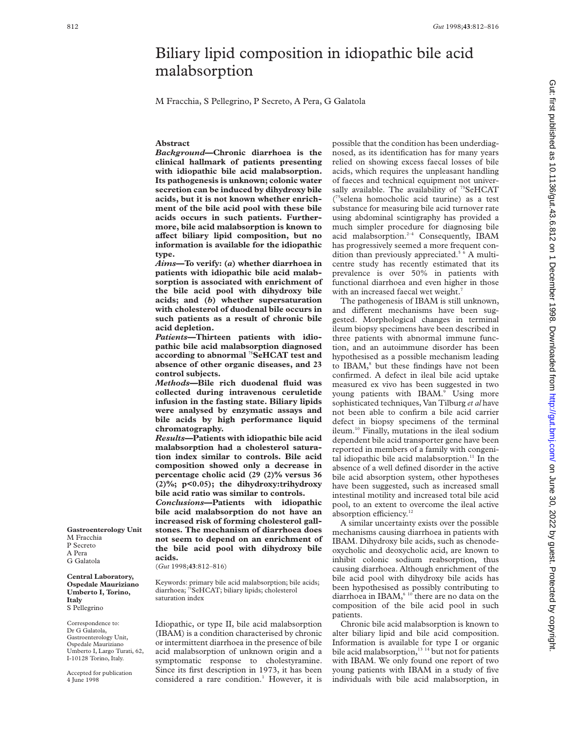# Biliary lipid composition in idiopathic bile acid malabsorption

M Fracchia, S Pellegrino, P Secreto, A Pera, G Galatola

# **Abstract**

*Background***—Chronic diarrhoea is the clinical hallmark of patients presenting with idiopathic bile acid malabsorption. Its pathogenesis is unknown; colonic water secretion can be induced by dihydroxy bile acids, but it is not known whether enrichment of the bile acid pool with these bile acids occurs in such patients. Furthermore, bile acid malabsorption is known to aVect biliary lipid composition, but no information is available for the idiopathic type.**

*Aims***—To verify: (***a***) whether diarrhoea in patients with idiopathic bile acid malabsorption is associated with enrichment of the bile acid pool with dihydroxy bile acids; and (***b***) whether supersaturation with cholesterol of duodenal bile occurs in such patients as a result of chronic bile acid depletion.**

*Patients***—Thirteen patients with idiopathic bile acid malabsorption diagnosed according to abnormal 75SeHCAT test and absence of other organic diseases, and 23 control subjects.**

*Methods***—Bile rich duodenal fluid was collected during intravenous ceruletide infusion in the fasting state. Biliary lipids were analysed by enzymatic assays and bile acids by high performance liquid chromatography.**

*Results***—Patients with idiopathic bile acid malabsorption had a cholesterol saturation index similar to controls. Bile acid composition showed only a decrease in percentage cholic acid (29 (2)% versus 36 (2)%; p<0.05); the dihydroxy:trihydroxy bile acid ratio was similar to controls.**

*Conclusions***—Patients with idiopathic bile acid malabsorption do not have an increased risk of forming cholesterol gallstones. The mechanism of diarrhoea does not seem to depend on an enrichment of the bile acid pool with dihydroxy bile acids.**

(*Gut* 1998;**43**:812–816)

Keywords: primary bile acid malabsorption; bile acids; diarrhoea; <sup>75</sup>SeHCAT; biliary lipids; cholesterol saturation index

Idiopathic, or type II, bile acid malabsorption (IBAM) is a condition characterised by chronic or intermittent diarrhoea in the presence of bile acid malabsorption of unknown origin and a symptomatic response to cholestyramine. Since its first description in 1973, it has been considered a rare condition.<sup>1</sup> However, it is possible that the condition has been underdiagnosed, as its identification has for many years relied on showing excess faecal losses of bile acids, which requires the unpleasant handling of faeces and technical equipment not universally available. The availability of  $75$ SeHCAT ( 75selena homocholic acid taurine) as a test substance for measuring bile acid turnover rate using abdominal scintigraphy has provided a much simpler procedure for diagnosing bile acid malabsorption.<sup>2-4</sup> Consequently, IBAM has progressively seemed a more frequent condition than previously appreciated.<sup>56</sup> A multicentre study has recently estimated that its prevalence is over 50% in patients with functional diarrhoea and even higher in those with an increased faecal wet weight.<sup>7</sup>

The pathogenesis of IBAM is still unknown, and different mechanisms have been suggested. Morphological changes in terminal ileum biopsy specimens have been described in three patients with abnormal immune function, and an autoimmune disorder has been hypothesised as a possible mechanism leading to IBAM,<sup>8</sup> but these findings have not been confirmed. A defect in ileal bile acid uptake measured ex vivo has been suggested in two young patients with IBAM.<sup>9</sup> Using more sophisticated techniques, Van Tilburg *et al* have not been able to confirm a bile acid carrier defect in biopsy specimens of the terminal ileum.10 Finally, mutations in the ileal sodium dependent bile acid transporter gene have been reported in members of a family with congenital idiopathic bile acid malabsorption. $<sup>11</sup>$  In the</sup> absence of a well defined disorder in the active bile acid absorption system, other hypotheses have been suggested, such as increased small intestinal motility and increased total bile acid pool, to an extent to overcome the ileal active absorption efficiency.<sup>12</sup>

A similar uncertainty exists over the possible mechanisms causing diarrhoea in patients with IBAM. Dihydroxy bile acids, such as chenodeoxycholic and deoxycholic acid, are known to inhibit colonic sodium reabsorption, thus causing diarrhoea. Although enrichment of the bile acid pool with dihydroxy bile acids has been hypothesised as possibly contributing to diarrhoea in IBAM,<sup>6 10</sup> there are no data on the composition of the bile acid pool in such patients.

Chronic bile acid malabsorption is known to alter biliary lipid and bile acid composition. Information is available for type I or organic bile acid malabsorption, $^{13}$  <sup>14</sup> but not for patients with IBAM. We only found one report of two young patients with IBAM in a study of five individuals with bile acid malabsorption, in

**Gastroenterology Unit** M Fracchia P Secreto A Pera G Galatola

**Central Laboratory, Ospedale Mauriziano Umberto I, Torino, Italy** S Pellegrino

Correspondence to: Dr G Galatola, Gastroenterology Unit, Ospedale Mauriziano Umberto I, Largo Turati, 62, I-10128 Torino, Italy.

Accepted for publication 4 June 1998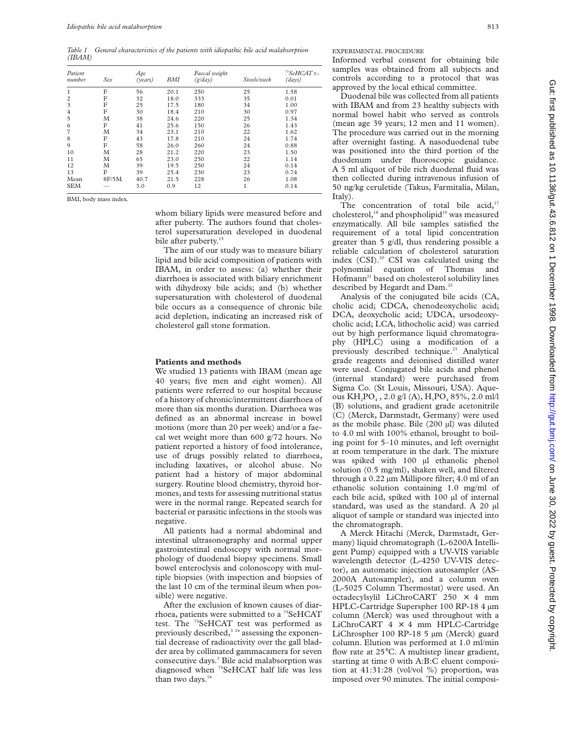*Table 1 General characteristics of the patients with idiopathic bile acid malabsorption (IBAM)*

| Patient<br>number | Sex   | Age<br>(years) | <b>BMI</b> | Faecal weight<br>(g/day) | Stools/week | <sup>75</sup> SeHCAT t/2<br>(days) |
|-------------------|-------|----------------|------------|--------------------------|-------------|------------------------------------|
| 1                 | F     | 56             | 20.1       | 250                      | 25          | 1.58                               |
| $\overline{c}$    | F     | 32             | 18.0       | 333                      | 35          | 0.01                               |
| 3                 | F     | 25             | 17.5       | 180                      | 34          | 1.00                               |
| 4                 | F     | 30             | 18.4       | 210                      | 30          | 0.97                               |
| 5                 | M     | 38             | 24.6       | 220                      | 25          | 1.34                               |
| 6                 | F     | 41             | 25.6       | 150                      | 26          | 1.43                               |
| 7                 | M     | 34             | 23.1       | 210                      | 22          | 1.62                               |
| 8                 | F     | 43             | 17.8       | 210                      | 24          | 1.74                               |
| 9                 | F     | 58             | 26.0       | 260                      | 24          | 0.88                               |
| 10                | M     | 28             | 21.2       | 220                      | 23          | 1.50                               |
| 11                | M     | 65             | 23.0       | 250                      | 22          | 1.14                               |
| 12                | M     | 39             | 19.5       | 250                      | 24          | 0.14                               |
| 13                | F     | 39             | 25.4       | 230                      | 23          | 0.74                               |
| Mean              | 8F/5M | 40.7           | 21.5       | 228                      | 26          | 1.08                               |
| <b>SEM</b>        |       | 3.0            | 0.9        | 12                       | 1           | 0.14                               |

BMI, body mass index.

whom biliary lipids were measured before and after puberty. The authors found that cholesterol supersaturation developed in duodenal bile after puberty.<sup>15</sup>

The aim of our study was to measure biliary lipid and bile acid composition of patients with IBAM, in order to assess: (a) whether their diarrhoea is associated with biliary enrichment with dihydroxy bile acids; and (b) whether supersaturation with cholesterol of duodenal bile occurs as a consequence of chronic bile acid depletion, indicating an increased risk of cholesterol gall stone formation.

## **Patients and methods**

We studied 13 patients with IBAM (mean age 40 years; five men and eight women). All patients were referred to our hospital because of a history of chronic/intermittent diarrhoea of more than six months duration. Diarrhoea was defined as an abnormal increase in bowel motions (more than 20 per week) and/or a faecal wet weight more than 600 g/72 hours. No patient reported a history of food intolerance, use of drugs possibly related to diarrhoea, including laxatives, or alcohol abuse. No patient had a history of major abdominal surgery. Routine blood chemistry, thyroid hormones, and tests for assessing nutritional status were in the normal range. Repeated search for bacterial or parasitic infections in the stools was negative.

All patients had a normal abdominal and intestinal ultrasonography and normal upper gastrointestinal endoscopy with normal morphology of duodenal biopsy specimens. Small bowel enteroclysis and colonoscopy with multiple biopsies (with inspection and biopsies of the last 10 cm of the terminal ileum when possible) were negative.

After the exclusion of known causes of diarrhoea, patients were submitted to a <sup>75</sup>SeHCAT test. The <sup>75</sup>SeHCAT test was performed as previously described, $3^{16}$  assessing the exponential decrease of radioactivity over the gall bladder area by collimated gammacamera for seven consecutive days.<sup>3</sup> Bile acid malabsorption was diagnosed when <sup>75</sup>SeHCAT half life was less than two days. $16$ 

EXPERIMENTAL PROCEDURE

Informed verbal consent for obtaining bile samples was obtained from all subjects and controls according to a protocol that was approved by the local ethical committee.

Duodenal bile was collected from all patients with IBAM and from 23 healthy subjects with normal bowel habit who served as controls (mean age 39 years; 12 men and 11 women). The procedure was carried out in the morning after overnight fasting. A nasoduodenal tube was positioned into the third portion of the duodenum under fluoroscopic guidance. A 5 ml aliquot of bile rich duodenal fluid was then collected during intravenous infusion of 50 ng/kg ceruletide (Takus, Farmitalia, Milan, Italy).

The concentration of total bile acid, $17$ cholesterol,<sup>18</sup> and phospholipid<sup>19</sup> was measured enzymatically. All bile samples satisfied the requirement of a total lipid concentration greater than 5 g/dl, thus rendering possible a reliable calculation of cholesterol saturation index (CSI).20 CSI was calculated using the polynomial equation of Thomas and Hofmann<sup>21</sup> based on cholesterol solubility lines described by Hegardt and Dam.<sup>22</sup>

Analysis of the conjugated bile acids (CA, cholic acid; CDCA, chenodeoxycholic acid; DCA, deoxycholic acid; UDCA, ursodeoxycholic acid; LCA, lithocholic acid) was carried out by high performance liquid chromatography (HPLC) using a modification of a previously described technique.<sup>23</sup> Analytical grade reagents and deionised distilled water were used. Conjugated bile acids and phenol (internal standard) were purchased from Sigma Co. (St Louis, Missouri, USA). Aqueous  $KH_2PO_4$ , 2.0 g/l (A),  $H_3PO_4$  85%, 2.0 ml/l (B) solutions, and gradient grade acetonitrile (C) (Merck, Darmstadt, Germany) were used as the mobile phase. Bile (200 µl) was diluted to 4.0 ml with 100% ethanol, brought to boiling point for 5–10 minutes, and left overnight at room temperature in the dark. The mixture was spiked with 100 µl ethanolic phenol solution (0.5 mg/ml), shaken well, and filtered through a 0.22 µm Millipore filter; 4.0 ml of an ethanolic solution containing 1.0 mg/ml of each bile acid, spiked with 100 µl of internal standard, was used as the standard. A 20 µl aliquot of sample or standard was injected into the chromatograph.

A Merck Hitachi (Merck, Darmstadt, Germany) liquid chromatograph (L-6200A Intelligent Pump) equipped with a UV-VIS variable wavelength detector (L-4250 UV-VIS detector), an automatic injection autosampler (AS-2000A Autosampler), and a column oven (L-5025 Column Thermostat) were used. An octadecylsylil LiChroCART 250 × 4 mm HPLC-Cartridge Superspher 100 RP-18 4 µm column (Merck) was used throughout with a LiChroCART  $4 \times 4$  mm HPLC-Cartridge LiChrospher 100 RP-18 5 µm (Merck) guard column. Elution was performed at 1.0 ml/min flow rate at 25°C. A multistep linear gradient, starting at time 0 with A:B:C eluent composition at 41:31:28 (vol/vol %) proportion, was imposed over 90 minutes. The initial composi-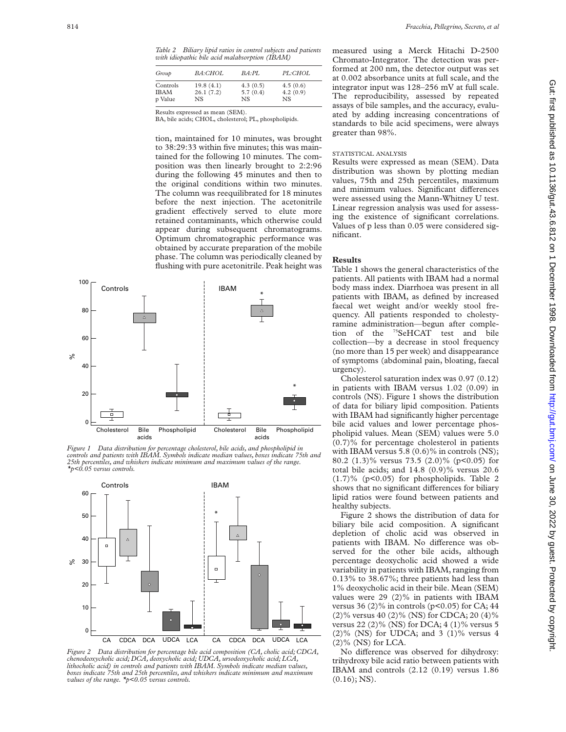*Table 2 Biliary lipid ratios in control subjects and patients with idiopathic bile acid malabsorption (IBAM)*

| Group       | <i>BA:CHOL</i> | $BA \cdot PI$ . | PL:CHOL  |
|-------------|----------------|-----------------|----------|
| Controls    | 19.8(4.1)      | 4.3(0.5)        | 4.5(0.6) |
| <b>IBAM</b> | 26.1(7.2)      | 5.7(0.4)        | 4.2(0.9) |
| p Value     | NS.            | NS.             | NS.      |

Results expressed as mean (SEM).

BA, bile acids; CHOL, cholesterol; PL, phospholipids.

tion, maintained for 10 minutes, was brought to 38:29:33 within five minutes; this was maintained for the following 10 minutes. The composition was then linearly brought to 2:2:96 during the following 45 minutes and then to the original conditions within two minutes. The column was reequilibrated for 18 minutes before the next injection. The acetonitrile gradient effectively served to elute more retained contaminants, which otherwise could appear during subsequent chromatograms. Optimum chromatographic performance was obtained by accurate preparation of the mobile phase. The column was periodically cleaned by flushing with pure acetonitrile. Peak height was



*Figure 1 Data distribution for percentage cholesterol, bile acids, and phospholipid in controls and patients with IBAM. Symbols indicate median values, boxes indicate 75th and 25th percentiles, and whiskers indicate minimum and maximum values of the range. \*p<0.05 versus controls.*



*Figure 2 Data distribution for percentage bile acid composition (CA, cholic acid; CDCA, chenodeoxycholic acid; DCA, deoxycholic acid; UDCA, ursodeoxycholic acid; LCA, lithocholic acid) in controls and patients with IBAM. Symbols indicate median values, boxes indicate 75th and 25th percentiles, and whiskers indicate minimum and maximum values of the range. \*p<0.05 versus controls.*

measured using a Merck Hitachi D-2500 Chromato-Integrator. The detection was performed at 200 nm, the detector output was set at 0.002 absorbance units at full scale, and the integrator input was 128–256 mV at full scale. The reproducibility, assessed by repeated assays of bile samples, and the accuracy, evaluated by adding increasing concentrations of standards to bile acid specimens, were always greater than 98%.

#### STATISTICAL ANALYSIS

Results were expressed as mean (SEM). Data distribution was shown by plotting median values, 75th and 25th percentiles, maximum and minimum values. Significant differences were assessed using the Mann-Whitney U test. Linear regression analysis was used for assessing the existence of significant correlations. Values of p less than 0.05 were considered significant.

#### **Results**

Table 1 shows the general characteristics of the patients. All patients with IBAM had a normal body mass index. Diarrhoea was present in all patients with IBAM, as defined by increased faecal wet weight and/or weekly stool frequency. All patients responded to cholestyramine administration—begun after completion of the 75SeHCAT test and bile collection—by a decrease in stool frequency (no more than 15 per week) and disappearance of symptoms (abdominal pain, bloating, faecal urgency).

Cholesterol saturation index was 0.97 (0.12) in patients with IBAM versus 1.02 (0.09) in controls (NS). Figure 1 shows the distribution of data for biliary lipid composition. Patients with IBAM had significantly higher percentage bile acid values and lower percentage phospholipid values. Mean (SEM) values were 5.0 (0.7)% for percentage cholesterol in patients with IBAM versus  $5.8 (0.6)\%$  in controls (NS); 80.2 (1.3)% versus 73.5 (2.0)% (p<0.05) for total bile acids; and 14.8 (0.9)% versus 20.6  $(1.7)$ % (p<0.05) for phospholipids. Table 2 shows that no significant differences for biliary lipid ratios were found between patients and healthy subjects.

Figure 2 shows the distribution of data for biliary bile acid composition. A significant depletion of cholic acid was observed in patients with IBAM. No difference was observed for the other bile acids, although percentage deoxycholic acid showed a wide variability in patients with IBAM, ranging from 0.13% to 38.67%; three patients had less than 1% deoxycholic acid in their bile. Mean (SEM) values were 29 (2)% in patients with IBAM versus 36  $(2)$ % in controls (p<0.05) for CA; 44 (2)% versus 40 (2)% (NS) for CDCA; 20 (4)% versus 22 (2)% (NS) for DCA; 4 (1)% versus 5  $(2)$ % (NS) for UDCA; and 3  $(1)$ % versus 4  $(2)$ % (NS) for LCA.

No difference was observed for dihydroxy: trihydroxy bile acid ratio between patients with IBAM and controls (2.12 (0.19) versus 1.86  $(0.16)$ ; NS).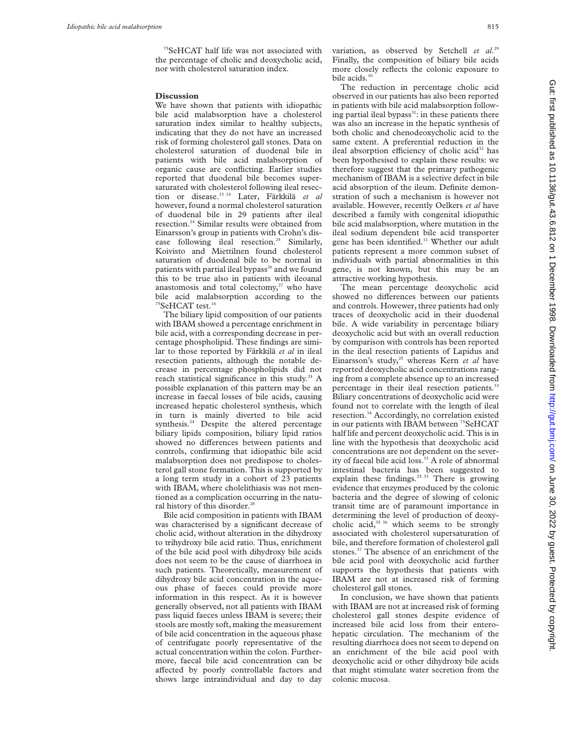75SeHCAT half life was not associated with the percentage of cholic and deoxycholic acid, nor with cholesterol saturation index.

### **Discussion**

We have shown that patients with idiopathic bile acid malabsorption have a cholesterol saturation index similar to healthy subjects, indicating that they do not have an increased risk of forming cholesterol gall stones. Data on cholesterol saturation of duodenal bile in patients with bile acid malabsorption of organic cause are conflicting. Earlier studies reported that duodenal bile becomes supersaturated with cholesterol following ileal resection or disease.13 14 Later, Färkkilä *et al* however, found a normal cholesterol saturation of duodenal bile in 29 patients after ileal resection.24 Similar results were obtained from Einarsson's group in patients with Crohn's disease following ileal resection.<sup>25</sup> Similarly, Koivisto and Miettilnen found cholesterol saturation of duodenal bile to be normal in patients with partial ileal bypass<sup>26</sup> and we found this to be true also in patients with ileoanal anastomosis and total colectomy, $27$  who have bile acid malabsorption according to the <sup>75</sup>SeHCAT test.<sup>16</sup>

The biliary lipid composition of our patients with IBAM showed a percentage enrichment in bile acid, with a corresponding decrease in percentage phospholipid. These findings are similar to those reported by Färkkilä *et al* in ileal resection patients, although the notable decrease in percentage phospholipids did not reach statistical significance in this study.<sup>24</sup> A possible explanation of this pattern may be an increase in faecal losses of bile acids, causing increased hepatic cholesterol synthesis, which in turn is mainly diverted to bile acid synthesis.<sup>24</sup> Despite the altered percentage biliary lipids composition, biliary lipid ratios showed no differences between patients and controls, confirming that idiopathic bile acid malabsorption does not predispose to cholesterol gall stone formation. This is supported by a long term study in a cohort of 23 patients with IBAM, where cholelithiasis was not mentioned as a complication occurring in the natural history of this disorder.<sup>28</sup>

Bile acid composition in patients with IBAM was characterised by a significant decrease of cholic acid, without alteration in the dihydroxy to trihydroxy bile acid ratio. Thus, enrichment of the bile acid pool with dihydroxy bile acids does not seem to be the cause of diarrhoea in such patients. Theoretically, measurement of dihydroxy bile acid concentration in the aqueous phase of faeces could provide more information in this respect. As it is however generally observed, not all patients with IBAM pass liquid faeces unless IBAM is severe; their stools are mostly soft, making the measurement of bile acid concentration in the aqueous phase of centrifugate poorly representative of the actual concentration within the colon. Furthermore, faecal bile acid concentration can be affected by poorly controllable factors and shows large intraindividual and day to day

variation, as observed by Setchell *et al*. 29 Finally, the composition of biliary bile acids more closely reflects the colonic exposure to bile acids.<sup>30</sup>

The reduction in percentage cholic acid observed in our patients has also been reported in patients with bile acid malabsorption following partial ileal bypass $31$ : in these patients there was also an increase in the hepatic synthesis of both cholic and chenodeoxycholic acid to the same extent. A preferential reduction in the ileal absorption efficiency of cholic acid<sup>32</sup> has been hypothesised to explain these results: we therefore suggest that the primary pathogenic mechanism of IBAM is a selective defect in bile acid absorption of the ileum. Definite demonstration of such a mechanism is however not available. However, recently Oelkers *et al* have described a family with congenital idiopathic bile acid malabsorption, where mutation in the ileal sodium dependent bile acid transporter gene has been identified.<sup>11</sup> Whether our adult patients represent a more common subset of individuals with partial abnormalities in this gene, is not known, but this may be an attractive working hypothesis.

The mean percentage deoxycholic acid showed no differences between our patients and controls. Howewer, three patients had only traces of deoxycholic acid in their duodenal bile. A wide variability in percentage biliary deoxycholic acid but with an overall reduction by comparison with controls has been reported in the ileal resection patients of Lapidus and Einarsson's study,<sup>25</sup> whereas Kern et al have reported deoxycholic acid concentrations ranging from a complete absence up to an increased percentage in their ileal resection patients.<sup>33</sup> Biliary concentrations of deoxycholic acid were found not to correlate with the length of ileal resection.34 Accordingly, no correlation existed in our patients with IBAM between <sup>75</sup>SeHCAT half life and percent deoxycholic acid. This is in line with the hypothesis that deoxycholic acid concentrations are not dependent on the severity of faecal bile acid loss.<sup>33</sup> A role of abnormal intestinal bacteria has been suggested to explain these findings.<sup>25 33</sup> There is growing evidence that enzymes produced by the colonic bacteria and the degree of slowing of colonic transit time are of paramount importance in determining the level of production of deoxycholic acid, $35\,36$  which seems to be strongly associated with cholesterol supersaturation of bile, and therefore formation of cholesterol gall stones.<sup>37</sup> The absence of an enrichment of the bile acid pool with deoxycholic acid further supports the hypothesis that patients with IBAM are not at increased risk of forming cholesterol gall stones.

In conclusion, we have shown that patients with IBAM are not at increased risk of forming cholesterol gall stones despite evidence of increased bile acid loss from their enterohepatic circulation. The mechanism of the resulting diarrhoea does not seem to depend on an enrichment of the bile acid pool with deoxycholic acid or other dihydroxy bile acids that might stimulate water secretion from the colonic mucosa.